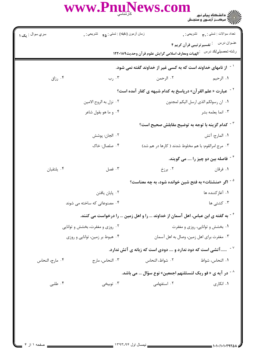## WWW.PnuNews.com

| سري سوال <sub>:</sub> | زمان أزمون (دقيقه) : تستى : ۴۵ - تشريحي : . |                 | تعداد سوالات : تستي : ٣ <b>. ب</b> ه     تشريحي : .                             |
|-----------------------|---------------------------------------------|-----------------|---------------------------------------------------------------------------------|
|                       |                                             |                 | عنــوان درس      : تفسيرترتيبي قرآن كريم ۴                                      |
|                       |                                             |                 | رشته تحصيلي/كد درس على الهيات ومعارف اسلامى گرايش علوم قرآن وحديث١٢٢٠١٨٩        |
|                       |                                             |                 | <sup>۱ -</sup> از نامهای خداوند است که به کسی غیر از خداوند گفته نمی شود.       |
| رزاق $\cdot$ ۴        | ۰۳ رب                                       | ۰۲ الرحمن       | ١. الرحيم                                                                       |
|                       |                                             |                 | <sup>٢ -</sup> عبارت « علم القرآن» درپاسخ به كدام شبهه ي كفار آمده است؟         |
|                       | ۰۲ نزل به الروح الامين                      |                 | ٠١. ان رسولكم الذي ارسل اليكم لمجنون                                            |
|                       | ۰۴ و ما هو بقول شاعر                        |                 | ۰۳ انما يعلمه بشر                                                               |
|                       |                                             |                 | $^\circ$ حدام گزینه با توجه به توضیح مقابلش صحیح است $^\circ$                   |
|                       | ٠٢ الجان: پوشش                              |                 | ٠١. المارج: آتش                                                                 |
|                       | ۰۴ صلصال: خاک                               |                 | ۰۳ مرج امرالقوم: با هم مخلوط شدند ( کارها در هم شد)                             |
|                       |                                             |                 | <sup>۴ -</sup> فاصله بین دو چیز را  می گویند.                                   |
| ۰۴ يلتقيان            | ۰۳ فصل                                      | ۰۲ برزخ         | ۰۱ فرقان                                                                        |
|                       |                                             |                 | <sup>۵ -</sup> اگر «منشئات» به فتح شین خوانده شود، به چه معناست؟                |
|                       | ۰۲ پایان یافتن                              |                 | ۰۱ آغازکننده ها                                                                 |
|                       | ۰۴ مصنوعاتی که ساخته می شوند                |                 | ۰۳ کشتی ها                                                                      |
|                       |                                             |                 | گ - به گفته ی ابن عباس، اهل آسمان از خداوند  را و اهل زمین  را درخواست می کنند. |
|                       | ۰۲ روزی و مغفرت، بخشش و توانایی             |                 | ۰۱ بخشش و توانایی، روزی و مغفرت                                                 |
|                       | ۰۴ هبوط بر زمین، توانایی و روزی             |                 | ۰۳ مغفرت براي اهل زمين، وصال به اهل آسمان                                       |
|                       |                                             |                 | سس آتشی است که دود ندارد و س دودی است که زبانه ی آتش ندارد. $^{\vee}$           |
| ۰۴ مارج، النحاس       | ۰۳ النحاس، مارج                             | ٢. شواظ، النحاس | ٠١. النحاس، شواظ                                                                |
|                       |                                             |                 | در آیه ی « فو ربک لنسئلنهم اجمعین» نوع سؤال … می باشد. ^                        |
| ۰۴ طلبی               | توبيخي $\cdot$ ۳                            | ۰۲ استفهامی     | ۰۱ انکاری                                                                       |
|                       |                                             |                 |                                                                                 |

یک ۱<br>.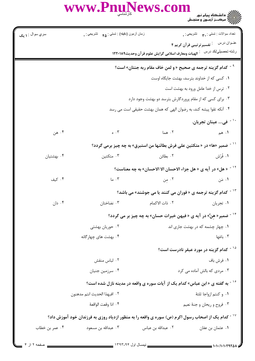|                                                                                                               | WWW.PnuNews.com                                          |                                                                    |                                                                                                                          |  |  |
|---------------------------------------------------------------------------------------------------------------|----------------------------------------------------------|--------------------------------------------------------------------|--------------------------------------------------------------------------------------------------------------------------|--|--|
| سري سوال : ۱ يک                                                                                               | زمان أزمون (دقيقه) : تستي : هم       تشريحي : .          |                                                                    | تعداد سوالات : تستي : ٣. تشريحي : .                                                                                      |  |  |
|                                                                                                               |                                                          |                                                                    | عنـوان درس      : تفسيرترتيبي قرآن كريم ۴<br>رشته تحصيلي/كد درس لـــ: الهيات ومعارف اسلامي گرايش علوم قر آن وحديث١٢٢٠١٨٩ |  |  |
| <sup>۹ -</sup> كدام گزینه ترجمه ی صحیح «و لمن خاف مقام ربه جنتان» است؟                                        |                                                          |                                                                    |                                                                                                                          |  |  |
|                                                                                                               | ۰۱ کسی که از خداوند بترسد، بهشت جایگاه اوست              |                                                                    |                                                                                                                          |  |  |
|                                                                                                               |                                                          |                                                                    | ۰۲ ترس از خدا عامل ورود به بهشت است                                                                                      |  |  |
|                                                                                                               | ۰۳ برای کسی که از مقام پروردگارش بترسد دو بهشت وجود دارد |                                                                    |                                                                                                                          |  |  |
|                                                                                                               |                                                          | ۰۴ آنکه تقوا پیشه کند، به رضوان الهی که همان بهشت حقیقی است می رسد |                                                                                                                          |  |  |
|                                                                                                               |                                                          |                                                                    | <sup>۱۰ -</sup> فی عینان تجریان.                                                                                         |  |  |
| ۰۴ هن                                                                                                         | $\circ$ $\cdot$ $\check{r}$                              | ۰۲ هما                                                             | $\mathsf{L} \cdot \mathsf{a}_{\sigma_1}$                                                                                 |  |  |
|                                                                                                               |                                                          |                                                                    | <sup>۱۱ -</sup> ضمیر «ها» در « متکئین علی فرش بطائنها من استبرق» به چه چیز برمی گردد؟                                    |  |  |
| ۰۴ بهشتیان                                                                                                    | ۰۳ متکئین                                                | ۲. بطائن                                                           | ١. فُرُش                                                                                                                 |  |  |
|                                                                                                               |                                                          |                                                                    | <sup>۱۲ -</sup> « هل» در آیه ی « هل جزاء الاحسان الا الاحسان» به چه معناست؟                                              |  |  |
| ۰۴ کیف                                                                                                        | $\mathsf{L}$ . ۱۳                                        | ۲. مِن                                                             | ۰۱ مَن                                                                                                                   |  |  |
|                                                                                                               |                                                          |                                                                    | <sup>۱۳ -</sup> کدام گزینه ترجمه ی « فوران می کنند یا می جوشند» می باشد؟                                                 |  |  |
| ۰۴ دان                                                                                                        | ۰۳ نضاختان                                               | ۰۲ ذات الاکمام                                                     | ٠١ تجريان                                                                                                                |  |  |
|                                                                                                               |                                                          |                                                                    | <sup>۱۴ -</sup> ضمیر« هنَّ» در آیه ی « فیهن خیرات حسان» به چه چیز بر می گردد؟                                            |  |  |
|                                                                                                               | ۰۲ حوریان بهشتی                                          |                                                                    | ۰۱ چهار چشمه که در بهشت جاری اند                                                                                         |  |  |
|                                                                                                               | ۰۴ بهشت های چهارگانه                                     |                                                                    | ۰۳ باغها                                                                                                                 |  |  |
|                                                                                                               |                                                          |                                                                    | <sup>۱۵ -</sup> کدام گزینه در مورد عبقر نادرست است؟                                                                      |  |  |
|                                                                                                               | ٠٢ لباس منقش                                             |                                                                    | ٠١ فرش باف                                                                                                               |  |  |
|                                                                                                               | ۰۴ سرزمين جنيان                                          |                                                                    | ۰۳ مردی که بالش آماده می کرد                                                                                             |  |  |
| ۱۶ - به گفته ی « ابن عباس» کدام یک از آیات سوره ی واقعه در مدینه نازل شده است؟                                |                                                          |                                                                    |                                                                                                                          |  |  |
|                                                                                                               | ٠١. و كنتم ازواجا ثلثهٔ<br>٢. افبهذا الحديث انتم مدهنون  |                                                                    |                                                                                                                          |  |  |
|                                                                                                               | ۰۴ اذا وقعت الواقعهٔ                                     |                                                                    | ۰۳ فروح و ريحان و جنهٔ نعيم                                                                                              |  |  |
| <sup>۱۷ -</sup> کدام یک از اصحاب رسول اکرم (ص) سوره ی واقعه را به منظور ازدیاد روزی به فرزندان خود آموزش داد؟ |                                                          |                                                                    |                                                                                                                          |  |  |
| ۰۴ عمر بن خطاب                                                                                                | ۰۳ عبدالله بن مسعود                                      | ۰۲ عبدالله بن عباس                                                 | ٠١ عثمان بن عفان                                                                                                         |  |  |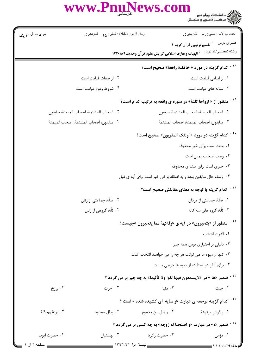|                        | WWW.PnuNews.com                                     |                                                   | ))))))) دانشگاه پیام نور<br>)))))) – مرکــز آزمــون و سنجـش                          |  |
|------------------------|-----------------------------------------------------|---------------------------------------------------|--------------------------------------------------------------------------------------|--|
| سري سوال : <b>۱ يک</b> | زمان أزمون (دقيقه) : تستي : ۴۵ $\bullet$ تشريحي : . |                                                   | تعداد سوالات : تستي : ٣. تشريحي : .                                                  |  |
|                        |                                                     |                                                   | عنــوان درس<br><sup>:</sup> تفسیرترتیبی قرآن کریم ۴                                  |  |
|                        |                                                     | الهيات ومعارف اسلامي گرايش علوم قرآن وحديث١٢٢٠١٨٩ | رشته تحصيلي/كد درس                                                                   |  |
|                        |                                                     |                                                   | <sup>۱۸ -</sup> کدام گزینه در مورد « خافضهٔ رافعهٔ» صحیح است؟                        |  |
|                        | ۰۲ از صفات قیامت است                                |                                                   | ۰۱ از اسامی قیامت است                                                                |  |
|                        | ۰۴ شروط وقوع قيامت است                              |                                                   | ۰۳ نشانه های قیامت است                                                               |  |
|                        |                                                     |                                                   | <sup>۱۹ -</sup> منظور از « ازواجا ثلثة» در سوره ی واقعه به ترتیب کدام است؟           |  |
|                        | ٢. اصحاب المشئمة، اصحاب الميمنة، سابقون             |                                                   | ٠١. اصحاب الميمنة، اصحاب المشئمة، سابقون                                             |  |
|                        | ۴ . سابقون، اصحاب المشئمهٔ، اصحاب الميمنهٔ          |                                                   | ٠٣ سابقون، اصحاب الميمنهٔ، اصحاب المشئمهٔ                                            |  |
|                        |                                                     |                                                   | <sup>۲۰ -</sup> کدام گزینه در مورد « اولئک المقربون» صحیح است؟                       |  |
|                        |                                                     |                                                   | ۰۱ مبتدا است برای خبر محذوف                                                          |  |
|                        |                                                     |                                                   | ٢. وصف اصحاب يمين است                                                                |  |
|                        |                                                     |                                                   | ۰۳ خبری است برای مبتدای محذوف                                                        |  |
|                        |                                                     |                                                   | ۰۴ وصف حال سابقون بوده و به اعتقاد برخی خبر است برای آیه ی قبل                       |  |
|                        |                                                     |                                                   | <sup>۲۱ -</sup> کدام گزینه با توجه به معنای مقابلش صحیح است؟                         |  |
|                        | ۰۲ صَلَّهٔ: جماعتی از زنان                          |                                                   | ١. صُلَّهٔ: جماعتي از مردان                                                          |  |
|                        | ۰۴ تَلَّهٔ: گروهي از زنان                           |                                                   | ۰۳ َنَلَّهٔ: گروه های سه گانه                                                        |  |
|                        |                                                     |                                                   | <sup>۲۲ -</sup> منظور از «یتخیرون» در آیه ی «وفاکههٔ مما یتخیرون »چیست؟              |  |
|                        |                                                     |                                                   | ٠١ قدرت انتخاب                                                                       |  |
|                        |                                                     |                                                   | ۰۲ دلیلی بر اختیاری بودن همه چیز                                                     |  |
|                        |                                                     |                                                   | ۰۳ تنها از میوه ها می توانند هر چه را می خواهند انتخاب کنند                          |  |
|                        |                                                     |                                                   | ۰۴ برای آنان در استفاده از میوه ها حرجی نیست .                                       |  |
|                        |                                                     |                                                   | <sup>7۳ -</sup> ضمیر «ها » در «لایسمعون فیها لغوا ولا تأثیما» به چه چیز بر می گردد ؟ |  |
| برزخ $\cdot$ ۴         | ۰۳ آخرت                                             | ۰۲ دنیا                                           | ۰۱ جنت                                                                               |  |
|                        |                                                     |                                                   | <sup>۲۴ -</sup> کدام گزینه ترجمه ی عبارت «و سایه ای کشیده شده » است ؟                |  |
| ۰۴ ترهقهم ذلهٔ         | ۰۳ وظل ممدود                                        | ٢. و ظل من يحموم                                  | ۱. و فرش مرفوعهٔ                                                                     |  |
|                        |                                                     |                                                   | <sup>۲۵ -</sup> ضمیر «ه» در عبارت «و اصلحنا له زوجه» به چه کسی بر می گردد ؟          |  |
| ۰۴ حضرت ايوب           | ۰۳ بهشتیان                                          | ۰۲ حضرت زکریا                                     | ۰۱ مؤمن                                                                              |  |
| _ صفحه ۳ از ۴          | __ نیمسال اول ۱۳۹۳-۹۴ ___                           |                                                   | 1.1.111179701                                                                        |  |

1.1.1.1.179201